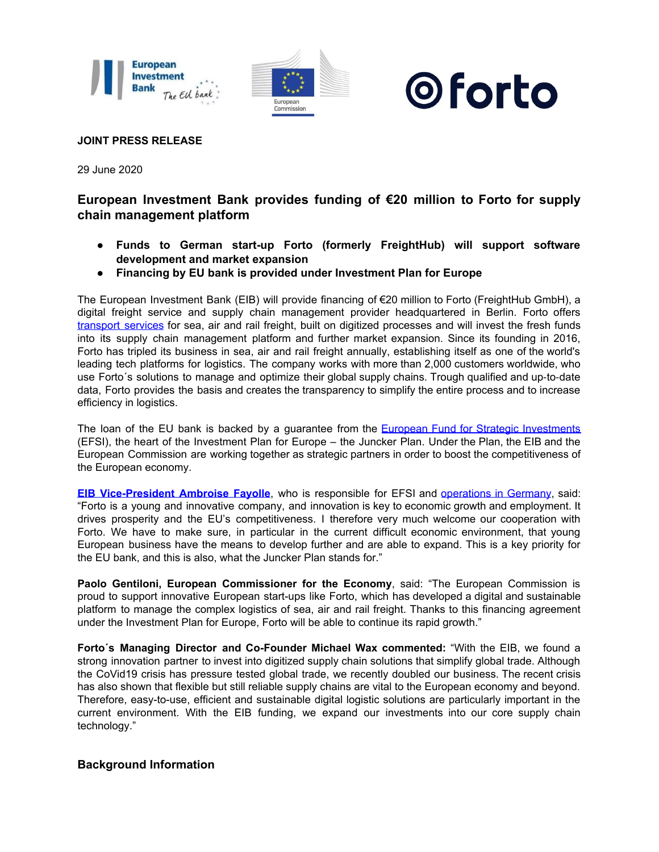





## **JOINT PRESS RELEASE**

29 June 2020

# **European Investment Bank provides funding of €20 million to Forto for supply chain management platform**

- **Funds to German start-up Forto (formerly FreightHub) will support software development and market expansion**
- **Financing by EU bank is provided under Investment Plan for Europe**

The European Investment Bank (EIB) will provide financing of €20 million to Forto (FreightHub GmbH), a digital freight service and supply chain management provider headquartered in Berlin. Forto offers [transport](https://www.eib.org/en/projects/sectors/transport/index.htm) services for sea, air and rail freight, built on digitized processes and will invest the fresh funds into its supply chain management platform and further market expansion. Since its founding in 2016, Forto has tripled its business in sea, air and rail freight annually, establishing itself as one of the world's leading tech platforms for logistics. The company works with more than 2,000 customers worldwide, who use Forto´s solutions to manage and optimize their global supply chains. Trough qualified and up-to-date data, Forto provides the basis and creates the transparency to simplify the entire process and to increase efficiency in logistics.

The loan of the EU bank is backed by a guarantee from the European Fund for Strategic [Investments](https://www.eib.org/en/efsi/index.htm) (EFSI), the heart of the Investment Plan for Europe – the Juncker Plan. Under the Plan, the EIB and the European Commission are working together as strategic partners in order to boost the competitiveness of the European economy.

**EIB [Vice-President](https://www.eib.org/en/about/governance-and-structure/statutory-bodies/management_committee/ambroise-fayolle.htm) Ambroise Fayolle**, who is responsible for EFSI and [operations](https://www.eib.org/en/projects/regions/european-union/germany/index.htm) in Germany, said: "Forto is a young and innovative company, and innovation is key to economic growth and employment. It drives prosperity and the EU's competitiveness. I therefore very much welcome our cooperation with Forto. We have to make sure, in particular in the current difficult economic environment, that young European business have the means to develop further and are able to expand. This is a key priority for the EU bank, and this is also, what the Juncker Plan stands for."

**Paolo Gentiloni, European Commissioner for the Economy**, said: "The European Commission is proud to support innovative European start-ups like Forto, which has developed a digital and sustainable platform to manage the complex logistics of sea, air and rail freight. Thanks to this financing agreement under the Investment Plan for Europe, Forto will be able to continue its rapid growth."

**Forto´s Managing Director and Co-Founder Michael Wax commented:** "With the EIB, we found a strong innovation partner to invest into digitized supply chain solutions that simplify global trade. Although the CoVid19 crisis has pressure tested global trade, we recently doubled our business. The recent crisis has also shown that flexible but still reliable supply chains are vital to the European economy and beyond. Therefore, easy-to-use, efficient and sustainable digital logistic solutions are particularly important in the current environment. With the EIB funding, we expand our investments into our core supply chain technology."

# **Background Information**